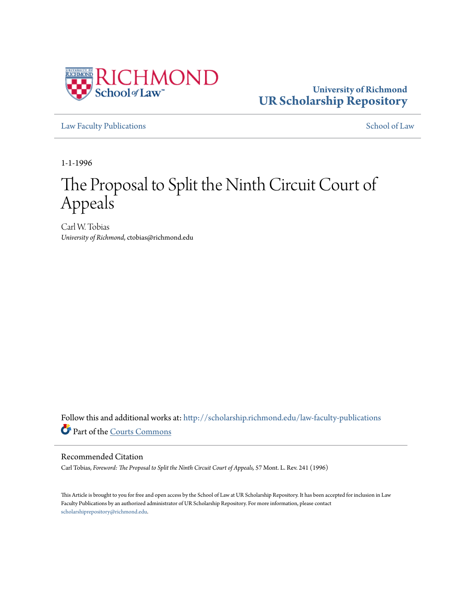

### **University of Richmond [UR Scholarship Repository](http://scholarship.richmond.edu?utm_source=scholarship.richmond.edu%2Flaw-faculty-publications%2F835&utm_medium=PDF&utm_campaign=PDFCoverPages)**

[Law Faculty Publications](http://scholarship.richmond.edu/law-faculty-publications?utm_source=scholarship.richmond.edu%2Flaw-faculty-publications%2F835&utm_medium=PDF&utm_campaign=PDFCoverPages) [School of Law](http://scholarship.richmond.edu/law?utm_source=scholarship.richmond.edu%2Flaw-faculty-publications%2F835&utm_medium=PDF&utm_campaign=PDFCoverPages)

1-1-1996

# The Proposal to Split the Ninth Circuit Court of Appeals

Carl W. Tobias *University of Richmond*, ctobias@richmond.edu

Follow this and additional works at: [http://scholarship.richmond.edu/law-faculty-publications](http://scholarship.richmond.edu/law-faculty-publications?utm_source=scholarship.richmond.edu%2Flaw-faculty-publications%2F835&utm_medium=PDF&utm_campaign=PDFCoverPages) Part of the [Courts Commons](http://network.bepress.com/hgg/discipline/839?utm_source=scholarship.richmond.edu%2Flaw-faculty-publications%2F835&utm_medium=PDF&utm_campaign=PDFCoverPages)

### Recommended Citation

Carl Tobias, *Foreword: The Proposal to Split the Ninth Circuit Court of Appeals,* 57 Mont. L. Rev. 241 (1996)

This Article is brought to you for free and open access by the School of Law at UR Scholarship Repository. It has been accepted for inclusion in Law Faculty Publications by an authorized administrator of UR Scholarship Repository. For more information, please contact [scholarshiprepository@richmond.edu.](mailto:scholarshiprepository@richmond.edu)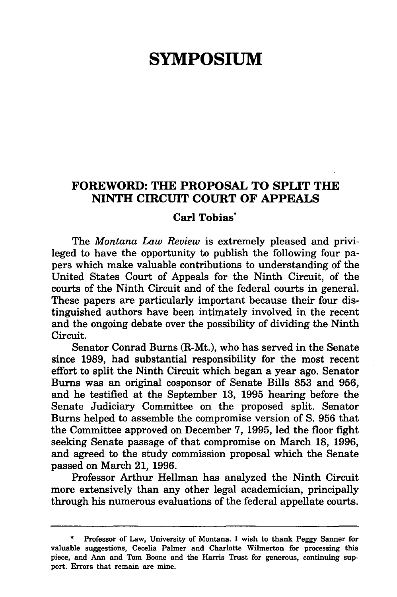## **SYMPOSIUM**

### **FOREWORD: THE PROPOSAL TO SPLIT THE NINTH CIRCUIT COURT OF APPEALS**

#### **Carl Tobias"**

The *Montana Law Review* is extremely pleased and privileged to have the opportunity to publish the following four papers which make valuable contributions to understanding of the United States Court of Appeals for the Ninth Circuit, of the courts of the Ninth Circuit and of the federal courts in general. These papers are particularly important because their four distinguished authors have been intimately involved in the recent and the ongoing debate over the possibility of dividing the Ninth Circuit.

Senator Conrad Burns (R-Mt.), who has served in the Senate since 1989, had substantial responsibility for the most recent effort to split the Ninth Circuit which began a year ago. Senator Burns was an original cosponsor of Senate Bills 853 and 956, and he testified at the September 13, 1995 hearing before the Senate Judiciary Committee on the proposed split. Senator Burns helped to assemble the compromise version of S. 956 that the Committee approved on December 7, 1995, led the floor fight seeking Senate passage of that compromise on March 18, 1996, and agreed to the study commission proposal which the Senate passed on March 21, 1996.

Professor Arthur Hellman has analyzed the Ninth Circuit more extensively than any other legal academician, principally through his numerous evaluations of the federal appellate courts.

Professor of Law, University of Montana. I wish to thank Peggy Sanner for valuable suggestions, Cecelia Palmer and Charlotte Wilmerton for processing this piece, and Ann and Tom Boone and the Harris Trust for generous, continuing support. Errors that remain are mine.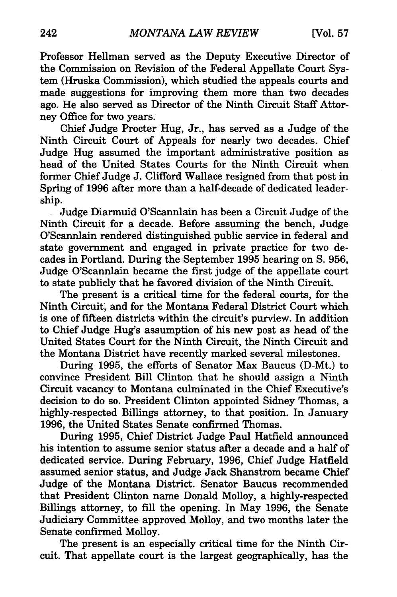Professor Hellman served as the Deputy Executive Director of the Commission on Revision of the Federal Appellate Court System (Hruska Commission), which studied the appeals courts and made suggestions for improving them more than two decades ago. He also served as Director of the Ninth Circuit Staff Attorney Office for two years.

Chief Judge Procter Hug, Jr., has served as a Judge of the Ninth Circuit Court of Appeals for nearly two decades. Chief Judge Hug assumed the important administrative position as head of the United States Courts for the Ninth Circuit when former Chief Judge J. Clifford Wallace resigned from that post in Spring of 1996 after more than a half-decade of dedicated leadership.

. Judge Diarmuid O'Scannlain has been a Circuit Judge of the Ninth Circuit for a decade. Before assuming the bench, Judge O'Scannlain rendered distinguished public service in federal and state government and engaged in private practice for two decades in Portland. During the September 1995 hearing on S. 956, Judge O'Scannlain became the first judge of the appellate court to state publicly that he favored division of the Ninth Circuit.

The present is a critical time for the federal courts, for the Ninth Circuit; and for the Montana Federal District Court which is one of fifteen districts within the circuit's purview. In addition to Chief Judge Hug's assumption of his new post as head of the United States Court for the Ninth Circuit, the Ninth Circuit and the Montana District have recently marked several milestones.

During 1995, the efforts of Senator Max Baucus (D-Mt.) to convince President Bill Clinton that he should assign a Ninth Circuit vacancy to Montana culminated in the Chief Executive's decision to do so. President Clinton appointed Sidney Thomas, a highly-respected Billings attorney, to that position. In January 1996, the United States Senate confirmed Thomas.

During 1995, Chief District Judge Paul Hatfield announced his intention to assume senior status after a decade and a half of dedicated service. During February, 1996, Chief Judge Hatfield assumed senior status, and Judge Jack Shanstrom became Chief Judge of the Montana District. Senator Baucus recommended that President Clinton name Donald Molloy, a highly-respected Billings attorney, to fill the opening. In May 1996, the Senate Judiciary Committee approved Molloy, and two months later the Senate confirmed Molloy.

The present is an especially critical time for the Ninth Circuit. That appellate court is the largest geographically, has the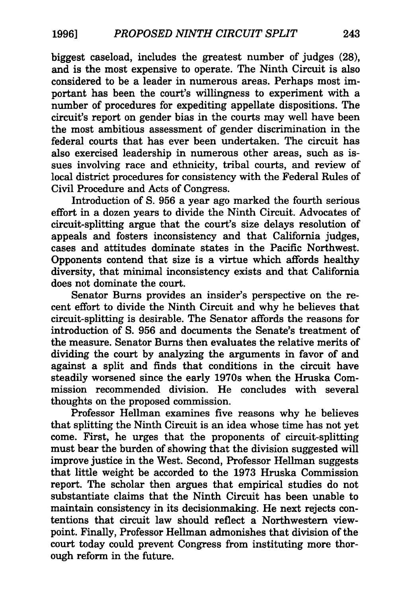biggest caseload, includes the greatest number of judges (28), and is the most expensive to operate. The Ninth Circuit is also considered to be a leader in numerous areas. Perhaps most important has been the court's willingness to experiment with a number of procedures for expediting appellate dispositions. The circuit's report on gender bias in the courts may well have been the most ambitious assessment of gender discrimination in the federal courts that has ever been undertaken. The circuit has also exercised leadership in numerous other areas, such as issues involving race and ethnicity, tribal courts, and review of local district procedures for consistency with the Federal Rules of Civil Procedure and Acts of Congress.

Introduction of S. 956 a year ago marked the fourth serious effort in a dozen years to divide the Ninth Circuit. Advocates of circuit-splitting argue that the court's size delays resolution of appeals and fosters inconsistency and that California judges, cases and attitudes dominate states in the Pacific Northwest. Opponents contend that size is a virtue which affords healthy diversity, that minimal inconsistency exists and that California does not dominate the court.

Senator Burns provides an insider's perspective on the recent effort to divide the Ninth Circuit and why he believes that circuit-splitting is desirable. The Senator affords the reasons for introduction of S. 956 and documents the Senate's treatment of the measure. Senator Burns then evaluates the relative merits of dividing the court by analyzing the arguments in favor of and against a split and finds that conditions in the circuit have steadily worsened since the early 1970s when the Hruska Commission recommended division. He concludes with several thoughts on the proposed commission.

Professor Hellman examines five reasons why he believes that splitting the Ninth Circuit is an idea whose time has not yet come. First, he urges that the proponents of circuit-splitting must bear the burden of showing that the division suggested will improve justice in the West. Second, Professor Hellman suggests that little weight be accorded to the 1973 Hruska Commission report. The scholar then argues that empirical studies do not substantiate claims that the Ninth Circuit has been unable to maintain consistency in its decisionmaking. He next rejects contentions that circuit law should reflect a Northwestern viewpoint. Finally, Professor Hellman admonishes that division of the court today could prevent Congress from instituting more thorough reform in the future.